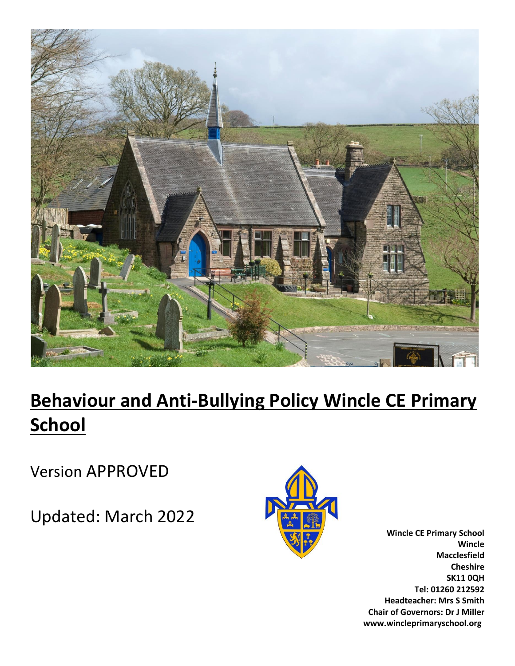

# **Behaviour and Anti-Bullying Policy Wincle CE Primary School**

Version APPROVED

Updated: March 2022



**Wincle CE Primary School Wincle Macclesfield Cheshire SK11 0QH Tel: 01260 212592 Headteacher: Mrs S Smith Chair of Governors: Dr J Miller www.wincleprimaryschool.org**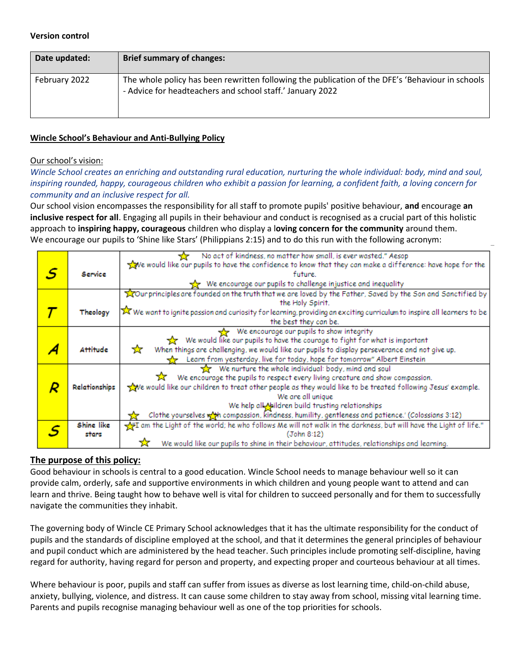#### **Version control**

| Date updated: | <b>Brief summary of changes:</b>                                                                                                                              |
|---------------|---------------------------------------------------------------------------------------------------------------------------------------------------------------|
| February 2022 | The whole policy has been rewritten following the publication of the DFE's 'Behaviour in schools<br>- Advice for headteachers and school staff.' January 2022 |

#### **Wincle School's Behaviour and Anti-Bullying Policy**

#### Our school's vision:

*Wincle School creates an enriching and outstanding rural education, nurturing the whole individual: body, mind and soul, inspiring rounded, happy, courageous children who exhibit a passion for learning, a confident faith, a loving concern for community and an inclusive respect for all.*

Our school vision encompasses the responsibility for all staff to promote pupils' positive behaviour, **and** encourage **an inclusive respect for all**. Engaging all pupils in their behaviour and conduct is recognised as a crucial part of this holistic approach to **inspiring happy, courageous** children who display a l**oving concern for the community** around them. We encourage our pupils to 'Shine like Stars' (Philippians 2:15) and to do this run with the following acronym:

|   |               | No act of kindness, no matter how small, is ever wasted." Aesop                                                                                       |
|---|---------------|-------------------------------------------------------------------------------------------------------------------------------------------------------|
|   |               | $\sqrt{2}$ e would like our pupils to have the confidence to know that they can make a difference: have hope for the                                  |
| S | Service       | future.                                                                                                                                               |
|   |               | We encourage our pupils to challenge injustice and inequality                                                                                         |
|   |               | Tour principles are founded on the truth that we are loved by the Father, Saved by the Son and Sanctified by                                          |
|   |               | the Holy Spirit.                                                                                                                                      |
|   | Theology      | $\overline{\blacktriangleright}$ We want to ignite passion and curiosity for learning, providing an exciting curriculum to inspire all learners to be |
|   |               | the best they can be.                                                                                                                                 |
|   |               | We encourage our pupils to show integrity                                                                                                             |
|   |               | We would like our pupils to have the courage to fight for what is important<br><b>X</b>                                                               |
|   | Attitude      | When things are challenging, we would like our pupils to display perseverance and not give up.<br>☆                                                   |
|   |               | Learn from yesterday, live for today, hope for tomorrow" Albert Einstein                                                                              |
|   |               | We nurture the whole individual: body, mind and soul                                                                                                  |
|   |               | We encourage the pupils to respect every living creature and show compassion.<br>77                                                                   |
|   | Relationships | ve would like our children to treat other people as they would like to be treated following Jesus' example.                                           |
|   |               | We are all unique                                                                                                                                     |
|   |               | We help all Naildren build trusting relationships                                                                                                     |
|   |               | Clothe yourselves with compassion, kindness, humility, gentleness and patience.' (Colossians 3:12)                                                    |
|   | Shine like    | m the Light of the world; he who follows Me will not walk in the darkness, but will have the Light of life."                                          |
|   | stars         | (John 8:12)                                                                                                                                           |
|   |               | We would like our pupils to shine in their behaviour, attitudes, relationships and learning.                                                          |

#### **The purpose of this policy:**

Good behaviour in schools is central to a good education. Wincle School needs to manage behaviour well so it can provide calm, orderly, safe and supportive environments in which children and young people want to attend and can learn and thrive. Being taught how to behave well is vital for children to succeed personally and for them to successfully navigate the communities they inhabit.

The governing body of Wincle CE Primary School acknowledges that it has the ultimate responsibility for the conduct of pupils and the standards of discipline employed at the school, and that it determines the general principles of behaviour and pupil conduct which are administered by the head teacher. Such principles include promoting self-discipline, having regard for authority, having regard for person and property, and expecting proper and courteous behaviour at all times.

Where behaviour is poor, pupils and staff can suffer from issues as diverse as lost learning time, child-on-child abuse, anxiety, bullying, violence, and distress. It can cause some children to stay away from school, missing vital learning time. Parents and pupils recognise managing behaviour well as one of the top priorities for schools.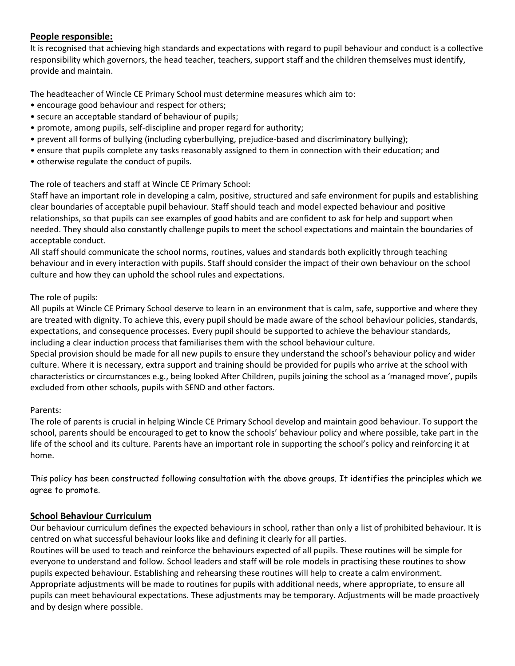# **People responsible:**

It is recognised that achieving high standards and expectations with regard to pupil behaviour and conduct is a collective responsibility which governors, the head teacher, teachers, support staff and the children themselves must identify, provide and maintain.

The headteacher of Wincle CE Primary School must determine measures which aim to:

- encourage good behaviour and respect for others;
- secure an acceptable standard of behaviour of pupils;
- promote, among pupils, self-discipline and proper regard for authority;
- prevent all forms of bullying (including cyberbullying, prejudice-based and discriminatory bullying);
- ensure that pupils complete any tasks reasonably assigned to them in connection with their education; and
- otherwise regulate the conduct of pupils.

#### The role of teachers and staff at Wincle CE Primary School:

Staff have an important role in developing a calm, positive, structured and safe environment for pupils and establishing clear boundaries of acceptable pupil behaviour. Staff should teach and model expected behaviour and positive relationships, so that pupils can see examples of good habits and are confident to ask for help and support when needed. They should also constantly challenge pupils to meet the school expectations and maintain the boundaries of acceptable conduct.

All staff should communicate the school norms, routines, values and standards both explicitly through teaching behaviour and in every interaction with pupils. Staff should consider the impact of their own behaviour on the school culture and how they can uphold the school rules and expectations.

#### The role of pupils:

All pupils at Wincle CE Primary School deserve to learn in an environment that is calm, safe, supportive and where they are treated with dignity. To achieve this, every pupil should be made aware of the school behaviour policies, standards, expectations, and consequence processes. Every pupil should be supported to achieve the behaviour standards, including a clear induction process that familiarises them with the school behaviour culture.

Special provision should be made for all new pupils to ensure they understand the school's behaviour policy and wider culture. Where it is necessary, extra support and training should be provided for pupils who arrive at the school with characteristics or circumstances e.g., being looked After Children, pupils joining the school as a 'managed move', pupils excluded from other schools, pupils with SEND and other factors.

#### Parents:

The role of parents is crucial in helping Wincle CE Primary School develop and maintain good behaviour. To support the school, parents should be encouraged to get to know the schools' behaviour policy and where possible, take part in the life of the school and its culture. Parents have an important role in supporting the school's policy and reinforcing it at home.

This policy has been constructed following consultation with the above groups. It identifies the principles which we agree to promote.

# **School Behaviour Curriculum**

Our behaviour curriculum defines the expected behaviours in school, rather than only a list of prohibited behaviour. It is centred on what successful behaviour looks like and defining it clearly for all parties.

Routines will be used to teach and reinforce the behaviours expected of all pupils. These routines will be simple for everyone to understand and follow. School leaders and staff will be role models in practising these routines to show pupils expected behaviour. Establishing and rehearsing these routines will help to create a calm environment. Appropriate adjustments will be made to routines for pupils with additional needs, where appropriate, to ensure all pupils can meet behavioural expectations. These adjustments may be temporary. Adjustments will be made proactively and by design where possible.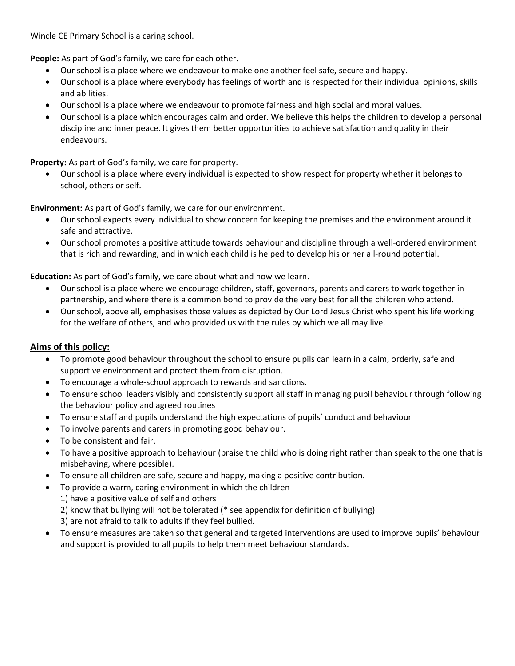Wincle CE Primary School is a caring school.

**People:** As part of God's family, we care for each other.

- Our school is a place where we endeavour to make one another feel safe, secure and happy.
- Our school is a place where everybody has feelings of worth and is respected for their individual opinions, skills and abilities.
- Our school is a place where we endeavour to promote fairness and high social and moral values.
- Our school is a place which encourages calm and order. We believe this helps the children to develop a personal discipline and inner peace. It gives them better opportunities to achieve satisfaction and quality in their endeavours.

**Property:** As part of God's family, we care for property.

• Our school is a place where every individual is expected to show respect for property whether it belongs to school, others or self.

**Environment:** As part of God's family, we care for our environment.

- Our school expects every individual to show concern for keeping the premises and the environment around it safe and attractive.
- Our school promotes a positive attitude towards behaviour and discipline through a well-ordered environment that is rich and rewarding, and in which each child is helped to develop his or her all-round potential.

**Education:** As part of God's family, we care about what and how we learn.

- Our school is a place where we encourage children, staff, governors, parents and carers to work together in partnership, and where there is a common bond to provide the very best for all the children who attend.
- Our school, above all, emphasises those values as depicted by Our Lord Jesus Christ who spent his life working for the welfare of others, and who provided us with the rules by which we all may live.

# **Aims of this policy:**

- To promote good behaviour throughout the school to ensure pupils can learn in a calm, orderly, safe and supportive environment and protect them from disruption.
- To encourage a whole-school approach to rewards and sanctions.
- To ensure school leaders visibly and consistently support all staff in managing pupil behaviour through following the behaviour policy and agreed routines
- To ensure staff and pupils understand the high expectations of pupils' conduct and behaviour
- To involve parents and carers in promoting good behaviour.
- To be consistent and fair.
- To have a positive approach to behaviour (praise the child who is doing right rather than speak to the one that is misbehaving, where possible).
- To ensure all children are safe, secure and happy, making a positive contribution.
- To provide a warm, caring environment in which the children
	- 1) have a positive value of self and others
	- 2) know that bullying will not be tolerated (\* see appendix for definition of bullying)
	- 3) are not afraid to talk to adults if they feel bullied.
- To ensure measures are taken so that general and targeted interventions are used to improve pupils' behaviour and support is provided to all pupils to help them meet behaviour standards.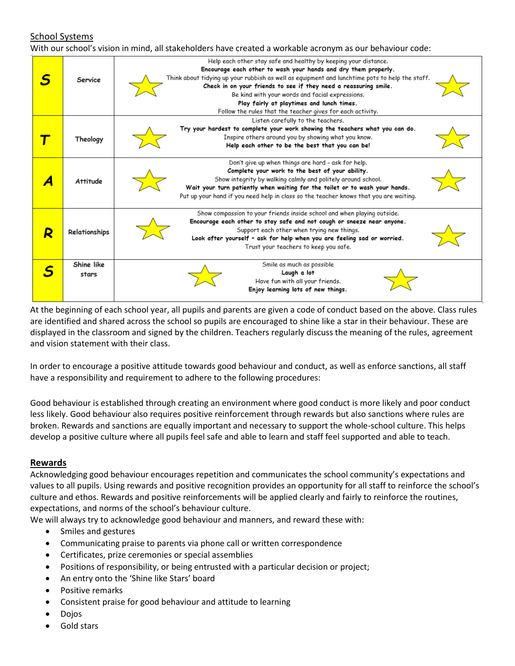# School Systems

With our school's vision in mind, all stakeholders have created a workable acronym as our behaviour code:

|   | Service             | Help each other stay safe and healthy by keeping your distance.<br>Encourage each other to wash your hands and dry them properly.<br>Think about tidying up your rubbish as well as equipment and lunchtime pots to help the staff.<br>Check in on your friends to see if they need a reassuring smile.<br>Be kind with your words and facial expressions.<br>Play fairly at playtimes and lunch times.<br>Follow the rules that the teacher gives for each activity. |
|---|---------------------|-----------------------------------------------------------------------------------------------------------------------------------------------------------------------------------------------------------------------------------------------------------------------------------------------------------------------------------------------------------------------------------------------------------------------------------------------------------------------|
|   | Theology            | Listen carefully to the teachers.<br>Try your hardest to complete your work showing the teachers what you can do.<br>Inspire others around you by showing what you know.<br>Help each other to be the best that you can be!                                                                                                                                                                                                                                           |
|   | <b>Attitude</b>     | Don't give up when things are hard - ask for help.<br>Complete your work to the best of your ability.<br>Show integrity by walking calmly and politely around school.<br>Wait your turn patiently when waiting for the toilet or to wash your hands.<br>Put up your hand if you need help in class so the teacher knows that you are waiting.                                                                                                                         |
| R | Relationships       | Show compassion to your friends inside school and when playing outside.<br>Encourage each other to stay safe and not cough or sneeze near anyone.<br>Support each other when trying new things.<br>Look after yourself - ask for help when you are feeling sad or worried.<br>Trust your teachers to keep you safe.                                                                                                                                                   |
|   | Shine like<br>stars | Smile as much as possible<br>Laugh a lot<br>Have fun with all your friends.<br>Enjoy learning lots of new things.                                                                                                                                                                                                                                                                                                                                                     |

At the beginning of each school year, all pupils and parents are given a code of conduct based on the above. Class rules are identified and shared across the school so pupils are encouraged to shine like a star in their behaviour. These are displayed in the classroom and signed by the children. Teachers regularly discuss the meaning of the rules, agreement and vision statement with their class.

In order to encourage a positive attitude towards good behaviour and conduct, as well as enforce sanctions, all staff have a responsibility and requirement to adhere to the following procedures:

Good behaviour is established through creating an environment where good conduct is more likely and poor conduct less likely. Good behaviour also requires positive reinforcement through rewards but also sanctions where rules are broken. Rewards and sanctions are equally important and necessary to support the whole-school culture. This helps develop a positive culture where all pupils feel safe and able to learn and staff feel supported and able to teach.

# **Rewards**

Acknowledging good behaviour encourages repetition and communicates the school community's expectations and values to all pupils. Using rewards and positive recognition provides an opportunity for all staff to reinforce the school's culture and ethos. Rewards and positive reinforcements will be applied clearly and fairly to reinforce the routines, expectations, and norms of the school's behaviour culture.

We will always try to acknowledge good behaviour and manners, and reward these with:

- Smiles and gestures
- Communicating praise to parents via phone call or written correspondence
- Certificates, prize ceremonies or special assemblies
- Positions of responsibility, or being entrusted with a particular decision or project;
- An entry onto the 'Shine like Stars' board
- Positive remarks
- Consistent praise for good behaviour and attitude to learning
- Dojos
- Gold stars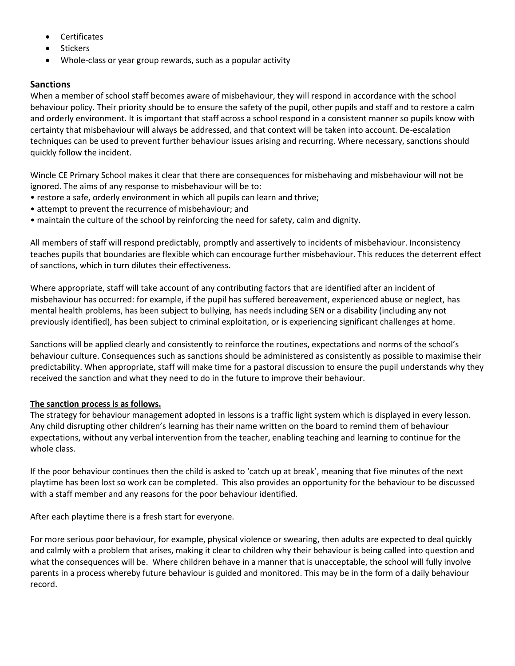- **Certificates**
- **Stickers**
- Whole-class or year group rewards, such as a popular activity

# **Sanctions**

When a member of school staff becomes aware of misbehaviour, they will respond in accordance with the school behaviour policy. Their priority should be to ensure the safety of the pupil, other pupils and staff and to restore a calm and orderly environment. It is important that staff across a school respond in a consistent manner so pupils know with certainty that misbehaviour will always be addressed, and that context will be taken into account. De-escalation techniques can be used to prevent further behaviour issues arising and recurring. Where necessary, sanctions should quickly follow the incident.

Wincle CE Primary School makes it clear that there are consequences for misbehaving and misbehaviour will not be ignored. The aims of any response to misbehaviour will be to:

- restore a safe, orderly environment in which all pupils can learn and thrive;
- attempt to prevent the recurrence of misbehaviour; and
- maintain the culture of the school by reinforcing the need for safety, calm and dignity.

All members of staff will respond predictably, promptly and assertively to incidents of misbehaviour. Inconsistency teaches pupils that boundaries are flexible which can encourage further misbehaviour. This reduces the deterrent effect of sanctions, which in turn dilutes their effectiveness.

Where appropriate, staff will take account of any contributing factors that are identified after an incident of misbehaviour has occurred: for example, if the pupil has suffered bereavement, experienced abuse or neglect, has mental health problems, has been subject to bullying, has needs including SEN or a disability (including any not previously identified), has been subject to criminal exploitation, or is experiencing significant challenges at home.

Sanctions will be applied clearly and consistently to reinforce the routines, expectations and norms of the school's behaviour culture. Consequences such as sanctions should be administered as consistently as possible to maximise their predictability. When appropriate, staff will make time for a pastoral discussion to ensure the pupil understands why they received the sanction and what they need to do in the future to improve their behaviour.

#### **The sanction process is as follows.**

The strategy for behaviour management adopted in lessons is a traffic light system which is displayed in every lesson. Any child disrupting other children's learning has their name written on the board to remind them of behaviour expectations, without any verbal intervention from the teacher, enabling teaching and learning to continue for the whole class.

If the poor behaviour continues then the child is asked to 'catch up at break', meaning that five minutes of the next playtime has been lost so work can be completed. This also provides an opportunity for the behaviour to be discussed with a staff member and any reasons for the poor behaviour identified.

After each playtime there is a fresh start for everyone.

For more serious poor behaviour, for example, physical violence or swearing, then adults are expected to deal quickly and calmly with a problem that arises, making it clear to children why their behaviour is being called into question and what the consequences will be. Where children behave in a manner that is unacceptable, the school will fully involve parents in a process whereby future behaviour is guided and monitored. This may be in the form of a daily behaviour record.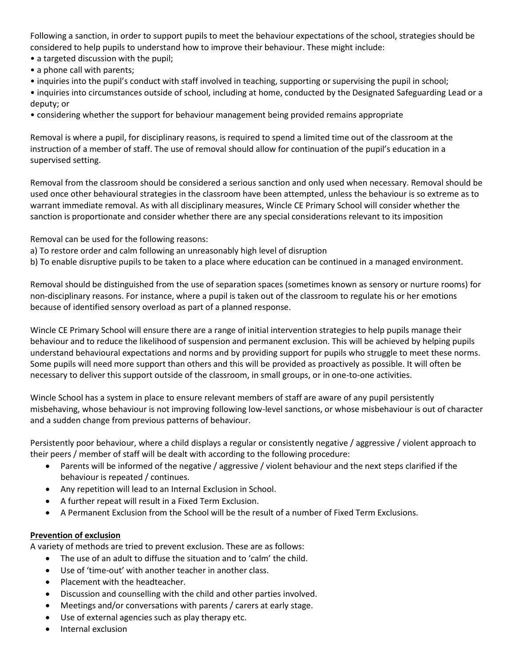Following a sanction, in order to support pupils to meet the behaviour expectations of the school, strategies should be considered to help pupils to understand how to improve their behaviour. These might include:

- a targeted discussion with the pupil;
- a phone call with parents;
- inquiries into the pupil's conduct with staff involved in teaching, supporting or supervising the pupil in school;

• inquiries into circumstances outside of school, including at home, conducted by the Designated Safeguarding Lead or a deputy; or

• considering whether the support for behaviour management being provided remains appropriate

Removal is where a pupil, for disciplinary reasons, is required to spend a limited time out of the classroom at the instruction of a member of staff. The use of removal should allow for continuation of the pupil's education in a supervised setting.

Removal from the classroom should be considered a serious sanction and only used when necessary. Removal should be used once other behavioural strategies in the classroom have been attempted, unless the behaviour is so extreme as to warrant immediate removal. As with all disciplinary measures, Wincle CE Primary School will consider whether the sanction is proportionate and consider whether there are any special considerations relevant to its imposition

Removal can be used for the following reasons:

- a) To restore order and calm following an unreasonably high level of disruption
- b) To enable disruptive pupils to be taken to a place where education can be continued in a managed environment.

Removal should be distinguished from the use of separation spaces (sometimes known as sensory or nurture rooms) for non-disciplinary reasons. For instance, where a pupil is taken out of the classroom to regulate his or her emotions because of identified sensory overload as part of a planned response.

Wincle CE Primary School will ensure there are a range of initial intervention strategies to help pupils manage their behaviour and to reduce the likelihood of suspension and permanent exclusion. This will be achieved by helping pupils understand behavioural expectations and norms and by providing support for pupils who struggle to meet these norms. Some pupils will need more support than others and this will be provided as proactively as possible. It will often be necessary to deliver this support outside of the classroom, in small groups, or in one-to-one activities.

Wincle School has a system in place to ensure relevant members of staff are aware of any pupil persistently misbehaving, whose behaviour is not improving following low-level sanctions, or whose misbehaviour is out of character and a sudden change from previous patterns of behaviour.

Persistently poor behaviour, where a child displays a regular or consistently negative / aggressive / violent approach to their peers / member of staff will be dealt with according to the following procedure:

- Parents will be informed of the negative / aggressive / violent behaviour and the next steps clarified if the behaviour is repeated / continues.
- Any repetition will lead to an Internal Exclusion in School.
- A further repeat will result in a Fixed Term Exclusion.
- A Permanent Exclusion from the School will be the result of a number of Fixed Term Exclusions.

#### **Prevention of exclusion**

A variety of methods are tried to prevent exclusion. These are as follows:

- The use of an adult to diffuse the situation and to 'calm' the child.
- Use of 'time-out' with another teacher in another class.
- Placement with the headteacher.
- Discussion and counselling with the child and other parties involved.
- Meetings and/or conversations with parents / carers at early stage.
- Use of external agencies such as play therapy etc.
- Internal exclusion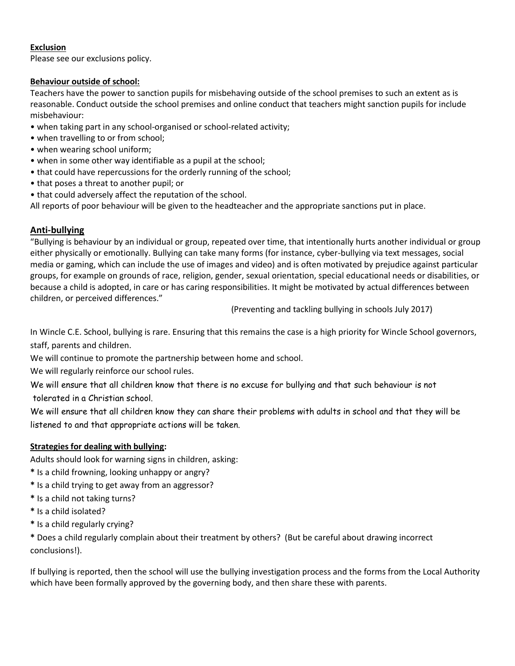# **Exclusion**

Please see our exclusions policy.

# **Behaviour outside of school:**

Teachers have the power to sanction pupils for misbehaving outside of the school premises to such an extent as is reasonable. Conduct outside the school premises and online conduct that teachers might sanction pupils for include misbehaviour:

- when taking part in any school-organised or school-related activity;
- when travelling to or from school;
- when wearing school uniform;
- when in some other way identifiable as a pupil at the school;
- that could have repercussions for the orderly running of the school;
- that poses a threat to another pupil; or
- that could adversely affect the reputation of the school.

All reports of poor behaviour will be given to the headteacher and the appropriate sanctions put in place.

# **Anti-bullying**

"Bullying is behaviour by an individual or group, repeated over time, that intentionally hurts another individual or group either physically or emotionally. Bullying can take many forms (for instance, cyber-bullying via text messages, social media or gaming, which can include the use of images and video) and is often motivated by prejudice against particular groups, for example on grounds of race, religion, gender, sexual orientation, special educational needs or disabilities, or because a child is adopted, in care or has caring responsibilities. It might be motivated by actual differences between children, or perceived differences."

(Preventing and tackling bullying in schools July 2017)

In Wincle C.E. School, bullying is rare. Ensuring that this remains the case is a high priority for Wincle School governors, staff, parents and children.

We will continue to promote the partnership between home and school.

We will regularly reinforce our school rules.

We will ensure that all children know that there is no excuse for bullying and that such behaviour is not tolerated in a Christian school.

We will ensure that all children know they can share their problems with adults in school and that they will be listened to and that appropriate actions will be taken.

# **Strategies for dealing with bullying:**

Adults should look for warning signs in children, asking:

- **\*** Is a child frowning, looking unhappy or angry?
- **\*** Is a child trying to get away from an aggressor?
- **\*** Is a child not taking turns?
- **\*** Is a child isolated?
- **\*** Is a child regularly crying?

**\*** Does a child regularly complain about their treatment by others? (But be careful about drawing incorrect conclusions!).

If bullying is reported, then the school will use the bullying investigation process and the forms from the Local Authority which have been formally approved by the governing body, and then share these with parents.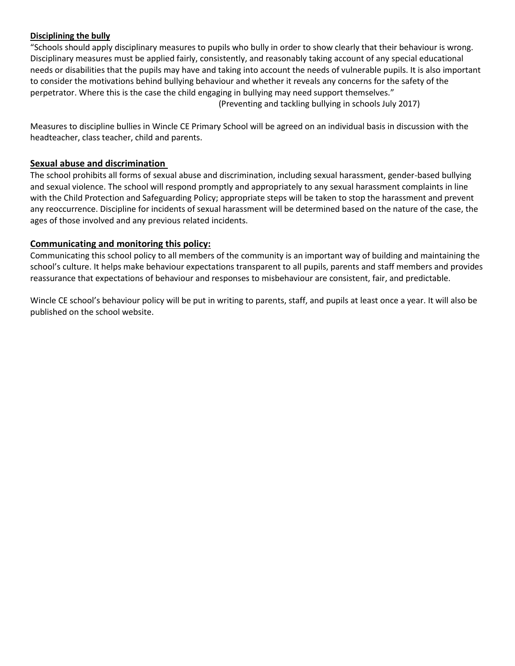#### **Disciplining the bully**

"Schools should apply disciplinary measures to pupils who bully in order to show clearly that their behaviour is wrong. Disciplinary measures must be applied fairly, consistently, and reasonably taking account of any special educational needs or disabilities that the pupils may have and taking into account the needs of vulnerable pupils. It is also important to consider the motivations behind bullying behaviour and whether it reveals any concerns for the safety of the perpetrator. Where this is the case the child engaging in bullying may need support themselves."

(Preventing and tackling bullying in schools July 2017)

Measures to discipline bullies in Wincle CE Primary School will be agreed on an individual basis in discussion with the headteacher, class teacher, child and parents.

# **Sexual abuse and discrimination**

The school prohibits all forms of sexual abuse and discrimination, including sexual harassment, gender-based bullying and sexual violence. The school will respond promptly and appropriately to any sexual harassment complaints in line with the Child Protection and Safeguarding Policy; appropriate steps will be taken to stop the harassment and prevent any reoccurrence. Discipline for incidents of sexual harassment will be determined based on the nature of the case, the ages of those involved and any previous related incidents.

#### **Communicating and monitoring this policy:**

Communicating this school policy to all members of the community is an important way of building and maintaining the school's culture. It helps make behaviour expectations transparent to all pupils, parents and staff members and provides reassurance that expectations of behaviour and responses to misbehaviour are consistent, fair, and predictable.

Wincle CE school's behaviour policy will be put in writing to parents, staff, and pupils at least once a year. It will also be published on the school website.